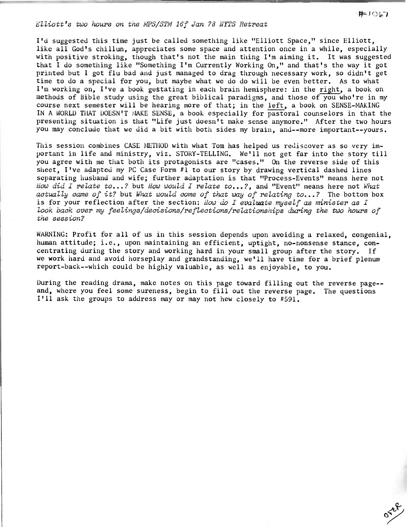## Elliott's two hours on tne MPS/STM 16f Jan 78 NYTS Retreat

I'd suggested this time just be called something like "Elliott Space," since Elliott, like all God's chillun, appreciates some space and attention once in a while, especially with positive stroking, though that's not the main thing I'm aiming it. It was suggested that I do something like "Something I'm Currently Working On," and that's the way it got printed but I got flu bad and just managed to drag through necessary work, so didn't get time to do a special for you, but maybe what we do do will be even better. As to what I'm working on, I've a book gestating in each brain hemisphere: in the right, a book on methods of Bible study using the great biblical paradigms, and those of you who're in my course next semester will be hearing more of that; in the left, a book on SENSE-MAKING IN A WORLD THAT DOESN'T MAKE SENSE, a book especially for pastoral counselors in that the presenting situation is that "Life just doesn't make sense anymore." After the two hours you may conclude that we did a bit with both sides my brain, and--more important--yours.

This session combines CASE METHOD with what Tom has helped us rediscover as so very important in life and ministry, viz. STORY-TELLING. We'll not get far into the story till you agree with me that both its protagonists are "cases." On the reverse side of this sheet, I've adapted my PC Case Form #1 to our story by drawing vertical dashed lines separating husband and wife; further adaptation is that "Process-Events" means here not How did I relate to...? but How would I relate to...?, and "Event" means here not What actually came of it? but What would come of that way of relating to...? The bottom box is for your reflection after the section: How do I evaluate myself as minister as I look back over my feelings/decisions/reflections/relationships during the two hours of the session?

WARNING: Profit for all of us in this session depends upon avoiding a relaxed, congenial, human attitude; i.e., upon maintaining an efficient, uptight, no-nonsense stance, concentrating during the story and working hard in your small group after the story. If we work hard and avoid horseplay and grandstanding, we'll have time for a brief plenum report-back--which could be highly valuable, as well as enjoyable, to you.

During the reading drama, make notes on this page toward filling out the reverse page- and, where you feel some sureness, begin to fill out the reverse page. The questions I'll ask the groups to address may or may not hew closely to #591.